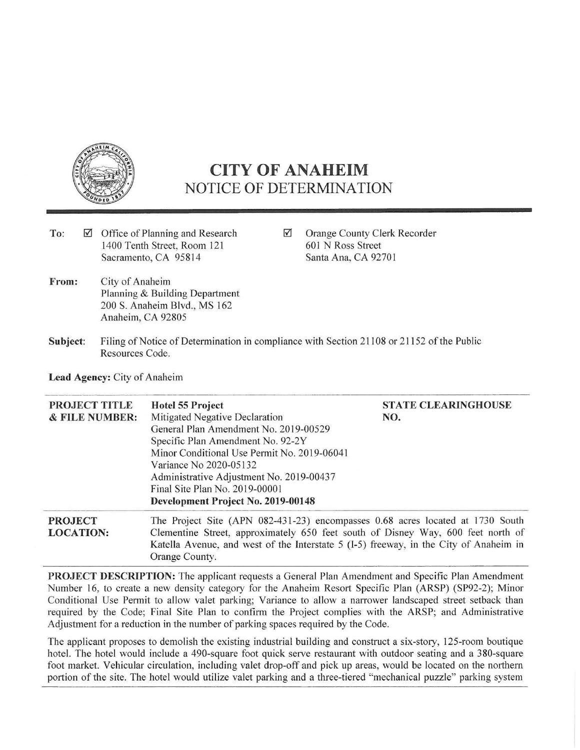

## **CITY OF ANAHEIM NOTICE OF DETERMINATION**

- **To:**   $\boxtimes$  Office of Planning and Research 1400 Tenth Street, Room 121 Sacramento, CA 95814
- □ Orange County Clerk Recorder 601 N Ross Street Santa Ana, CA 92701
- **From:** City of Anaheim Planning & Building Department 200 S. Anaheim Blvd., MS 162 Anaheim, CA 92805
- **Subject:** Filing of Notice of Determination in compliance with Section 21108 or 21152 of the Public Resources Code.

**Lead Agency:** City of Anaheim

| <b>PROJECT TITLE</b><br><b>&amp; FILE NUMBER:</b> | Hotel 55 Project<br>Mitigated Negative Declaration<br>General Plan Amendment No. 2019-00529<br>Specific Plan Amendment No. 92-2Y<br>Minor Conditional Use Permit No. 2019-06041<br>Variance No 2020-05132<br>Administrative Adjustment No. 2019-00437<br>Final Site Plan No. 2019-00001<br>Development Project No. 2019-00148 | <b>STATE CLEARINGHOUSE</b><br>NO. |
|---------------------------------------------------|-------------------------------------------------------------------------------------------------------------------------------------------------------------------------------------------------------------------------------------------------------------------------------------------------------------------------------|-----------------------------------|
| <b>PROJECT</b><br><b>LOCATION:</b>                | The Project Site (APN 082-431-23) encompasses 0.68 acres located at 1730 South<br>Clementine Street, approximately 650 feet south of Disney Way, 600 feet north of<br>Katella Avenue, and west of the Interstate 5 (I-5) freeway, in the City of Anaheim in                                                                   |                                   |

Orange County. **PROJECT DESCRIPTION:** The applicant requests a General Plan Amendment and Specific Plan Amendment Number 16, to create a new density category for the Anaheim Resort Specific Plan (ARSP) (SP92-2); Minor Conditional Use Permit to allow valet parking; Variance to allow a narrower landscaped street setback than required by the Code; Final Site Plan to confirm the Project complies with the ARSP; and Administrative Adjustment for a reduction in the number of parking spaces required by the Code.

The applicant proposes to demolish the existing industrial building and construct a six-story, 125-room boutique hotel. The hotel would include a 490-square foot quick serve restaurant with outdoor seating and a 380-square foot market. Vehicular circulation, including valet drop-off and pick up areas, would be located on the northern portion of the site. The hotel would utilize valet parking and a three-tiered "mechanical puzzle" parking system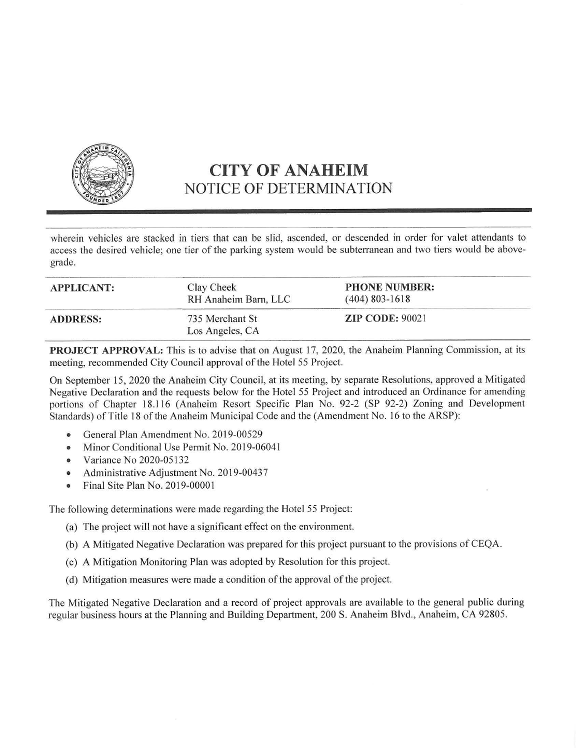

## **CITY OF ANAHEIM NOTICE OF DETERMINATION**

wherein vehicles are stacked in tiers that can be slid, ascended, or descended in order for valet attendants to access the desired vehicle; one tier of the parking system would be subterranean and two tiers would be abovegrade.

| <b>APPLICANT:</b> | Clay Cheek<br>RH Anaheim Barn, LLC | <b>PHONE NUMBER:</b><br>$(404)$ 803-1618 |  |
|-------------------|------------------------------------|------------------------------------------|--|
| <b>ADDRESS:</b>   | 735 Merchant St<br>Los Angeles, CA | $\mathbb{ZIP}$ CODE: 90021               |  |

**PROJECT APPROVAL:** This is to advise that on August 17, 2020, the Anaheim Planning Commission, at its meeting, recommended City Council approval of the Hotel 55 Project.

On September 15, 2020 the Anaheim City Council, at its meeting, by separate Resolutions, approved a Mitigated Negative Declaration and the requests below for the Hotel 55 Project and introduced an Ordinance for amending portions of Chapter 18.116 (Anaheim Resort Specific Plan No. 92-2 (SP 92-2) Zoning and Development Standards) of Title 18 of the Anaheim Municipal Code and the (Amendment No. 16 to the ARSP):

- General Plan Amendment No. 2019-00529
- Minor Conditional Use Permit No. 2019-06041
- Variance No 2020-05132
- Administrative Adjustment No. 2019-00437
- Final Site Plan No. 2019-00001

The following determinations were made regarding the Hotel 55 Project:

- (a) The project will not have a significant effect on the environment.
- (b) A Mitigated Negative Declaration was prepared for this project pursuant to the provisions of CEQA.
- (c) A Mitigation Monitoring Plan was adopted by Resolution for this project.
- (d) Mitigation measures were made a condition of the approval of the project.

The Mitigated Negative Declaration and a record of project approvals are available to the general public during regular business hours at the Planning and Building Department, 200 S. Anaheim Blvd., Anaheim, CA 92805.